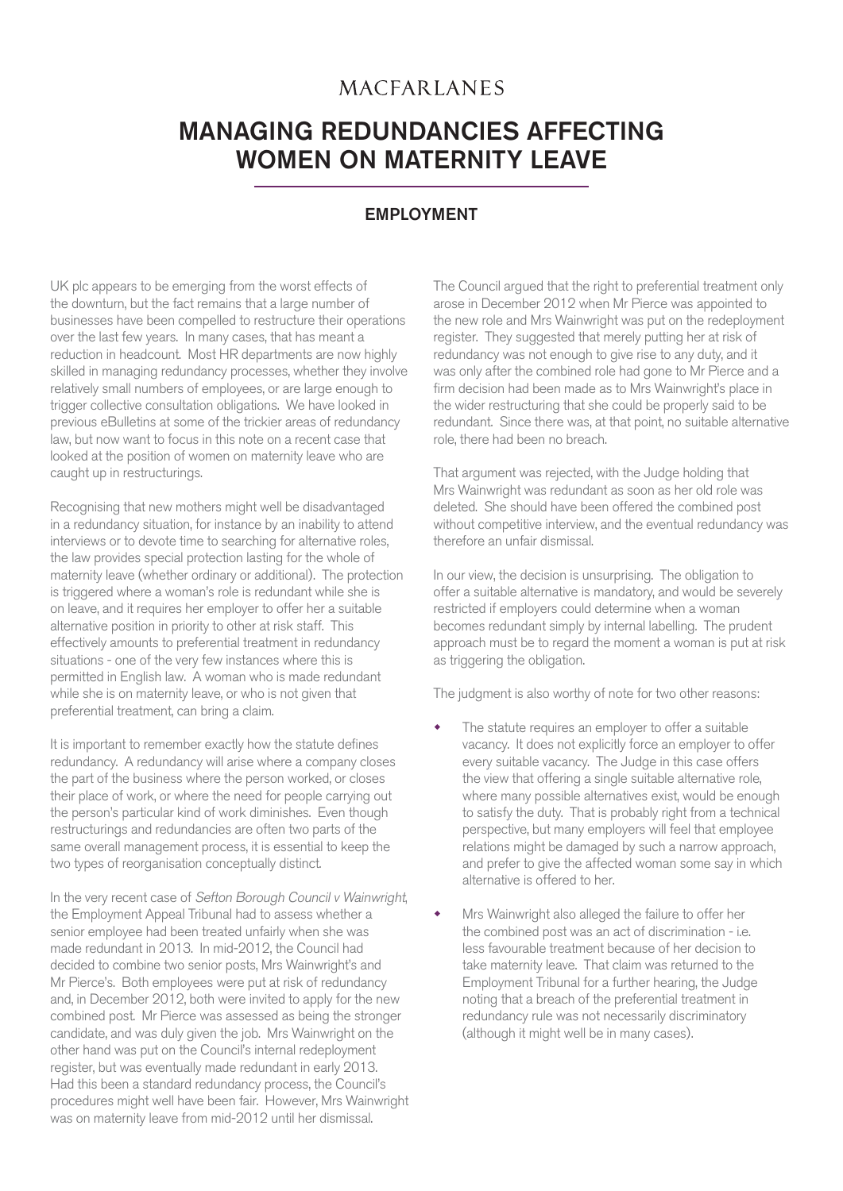## **MACFARLANES**

## MANAGING REDUNDANCIES AFFECTING WOMEN ON MATERNITY LEAVE

## EMPLOYMENT

UK plc appears to be emerging from the worst effects of the downturn, but the fact remains that a large number of businesses have been compelled to restructure their operations over the last few years. In many cases, that has meant a reduction in headcount. Most HR departments are now highly skilled in managing redundancy processes, whether they involve relatively small numbers of employees, or are large enough to trigger collective consultation obligations. We have looked in previous eBulletins at some of the trickier areas of redundancy law, but now want to focus in this note on a recent case that looked at the position of women on maternity leave who are caught up in restructurings.

Recognising that new mothers might well be disadvantaged in a redundancy situation, for instance by an inability to attend interviews or to devote time to searching for alternative roles, the law provides special protection lasting for the whole of maternity leave (whether ordinary or additional). The protection is triggered where a woman's role is redundant while she is on leave, and it requires her employer to offer her a suitable alternative position in priority to other at risk staff. This effectively amounts to preferential treatment in redundancy situations - one of the very few instances where this is permitted in English law. A woman who is made redundant while she is on maternity leave, or who is not given that preferential treatment, can bring a claim.

It is important to remember exactly how the statute defines redundancy. A redundancy will arise where a company closes the part of the business where the person worked, or closes their place of work, or where the need for people carrying out the person's particular kind of work diminishes. Even though restructurings and redundancies are often two parts of the same overall management process, it is essential to keep the two types of reorganisation conceptually distinct.

In the very recent case of Sefton Borough Council v Wainwright, the Employment Appeal Tribunal had to assess whether a senior employee had been treated unfairly when she was made redundant in 2013. In mid-2012, the Council had decided to combine two senior posts, Mrs Wainwright's and Mr Pierce's. Both employees were put at risk of redundancy and, in December 2012, both were invited to apply for the new combined post. Mr Pierce was assessed as being the stronger candidate, and was duly given the job. Mrs Wainwright on the other hand was put on the Council's internal redeployment register, but was eventually made redundant in early 2013. Had this been a standard redundancy process, the Council's procedures might well have been fair. However, Mrs Wainwright was on maternity leave from mid-2012 until her dismissal.

The Council argued that the right to preferential treatment only arose in December 2012 when Mr Pierce was appointed to the new role and Mrs Wainwright was put on the redeployment register. They suggested that merely putting her at risk of redundancy was not enough to give rise to any duty, and it was only after the combined role had gone to Mr Pierce and a firm decision had been made as to Mrs Wainwright's place in the wider restructuring that she could be properly said to be redundant. Since there was, at that point, no suitable alternative role, there had been no breach.

That argument was rejected, with the Judge holding that Mrs Wainwright was redundant as soon as her old role was deleted. She should have been offered the combined post without competitive interview, and the eventual redundancy was therefore an unfair dismissal.

In our view, the decision is unsurprising. The obligation to offer a suitable alternative is mandatory, and would be severely restricted if employers could determine when a woman becomes redundant simply by internal labelling. The prudent approach must be to regard the moment a woman is put at risk as triggering the obligation.

The judgment is also worthy of note for two other reasons:

- The statute requires an employer to offer a suitable vacancy. It does not explicitly force an employer to offer every suitable vacancy. The Judge in this case offers the view that offering a single suitable alternative role, where many possible alternatives exist, would be enough to satisfy the duty. That is probably right from a technical perspective, but many employers will feel that employee relations might be damaged by such a narrow approach, and prefer to give the affected woman some say in which alternative is offered to her.
- Mrs Wainwright also alleged the failure to offer her the combined post was an act of discrimination - i.e. less favourable treatment because of her decision to take maternity leave. That claim was returned to the Employment Tribunal for a further hearing, the Judge noting that a breach of the preferential treatment in redundancy rule was not necessarily discriminatory (although it might well be in many cases).